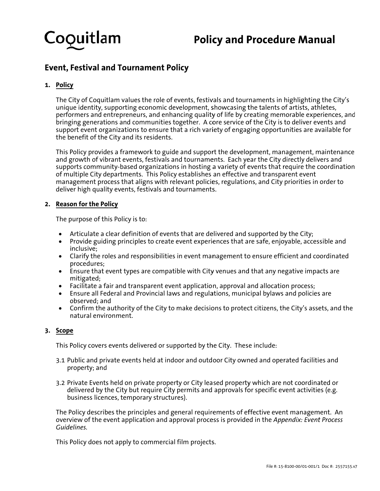

# **Policy and Procedure Manual**

## **Event, Festival and Tournament Policy**

## **1. Policy y**

The City of Coquitlam values the role of events, festivals and tournaments in highlighting the City's unique identity, supporting economic development, showcasing the talents of artists, athletes, performers and entrepreneurs, and enhancing quality of life by creating memorable experiences, and bringing generations and communities together. A core service of the City is to deliver events and support event organizations to ensure that a rich variety of engaging opportunities are available for the benefit of the City and its residents.

This Policy provides a framework to guide and support the development, management, maintenance and growth of vibrant events, festivals and tournaments. Each year the City directly delivers and supports community-based organizations in hosting a variety of events that require the coordination of multiple City departments. This Policy establishes an effective and transparent event management process that aligns with relevant policies, regulations, and City priorities in order to deliver high quality events, festivals and tournaments.

## **2.** Reason for the Policy

The purpose of this Policy is to:

- Articulate a clear definition of events that are delivered and supported by the City;
- Provide guiding principles to create event experiences that are safe, enjoyable, accessible and i inclusive;
- Clarify the roles and responsibilities in event management to ensure efficient and coordinated p procedures;
- Ensure that event types are compatible with City venues and that any negative impacts are m mitigated;
- Facilitate a fair and transparent event application, approval and allocation process;
- Ensure all Federal and Provincial laws and regulations, municipal bylaws and policies are o observed; an nd
- Confirm the authority of the City to make decisions to protect citizens, the City's assets, and the natural environment.

## **3. Scope e**

This Policy covers events delivered or supported by the City. These include:

- 3.1 Public and private events held at indoor and outdoor City owned and operated facilities and p roperty; and d
- 3.2 Private Events held on private property or City leased property which are not coordinated or delivered by the City but require City permits and approvals for specific event activities (e.g. business licences, temporary structures).

The Policy describes the principles and general requirements of effective event management. An overview of the event application and approval process is provided in the *Appendix: Event Process Guide elines.*

This Policy does not apply to commercial film projects.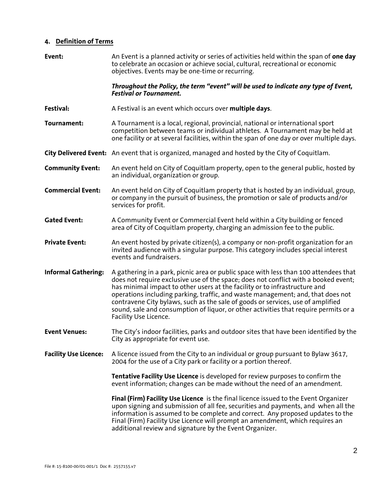## **4. Definition of Terms**

| Event:                       | An Event is a planned activity or series of activities held within the span of one day<br>to celebrate an occasion or achieve social, cultural, recreational or economic<br>objectives. Events may be one-time or recurring.                                                                                                                                                                                                                                                                                                                     |  |
|------------------------------|--------------------------------------------------------------------------------------------------------------------------------------------------------------------------------------------------------------------------------------------------------------------------------------------------------------------------------------------------------------------------------------------------------------------------------------------------------------------------------------------------------------------------------------------------|--|
|                              | Throughout the Policy, the term "event" will be used to indicate any type of Event,<br><b>Festival or Tournament.</b>                                                                                                                                                                                                                                                                                                                                                                                                                            |  |
| Festival:                    | A Festival is an event which occurs over multiple days.                                                                                                                                                                                                                                                                                                                                                                                                                                                                                          |  |
| Tournament:                  | A Tournament is a local, regional, provincial, national or international sport<br>competition between teams or individual athletes. A Tournament may be held at<br>one facility or at several facilities, within the span of one day or over multiple days.                                                                                                                                                                                                                                                                                      |  |
|                              | City Delivered Event: An event that is organized, managed and hosted by the City of Coquitlam.                                                                                                                                                                                                                                                                                                                                                                                                                                                   |  |
| <b>Community Event:</b>      | An event held on City of Coquitlam property, open to the general public, hosted by<br>an individual, organization or group.                                                                                                                                                                                                                                                                                                                                                                                                                      |  |
| <b>Commercial Event:</b>     | An event held on City of Coquitlam property that is hosted by an individual, group,<br>or company in the pursuit of business, the promotion or sale of products and/or<br>services for profit.                                                                                                                                                                                                                                                                                                                                                   |  |
| <b>Gated Event:</b>          | A Community Event or Commercial Event held within a City building or fenced<br>area of City of Coquitlam property, charging an admission fee to the public.                                                                                                                                                                                                                                                                                                                                                                                      |  |
| <b>Private Event:</b>        | An event hosted by private citizen(s), a company or non-profit organization for an<br>invited audience with a singular purpose. This category includes special interest<br>events and fundraisers.                                                                                                                                                                                                                                                                                                                                               |  |
| <b>Informal Gathering:</b>   | A gathering in a park, picnic area or public space with less than 100 attendees that<br>does not require exclusive use of the space; does not conflict with a booked event;<br>has minimal impact to other users at the facility or to infrastructure and<br>operations including parking, traffic, and waste management; and, that does not<br>contravene City bylaws, such as the sale of goods or services, use of amplified<br>sound, sale and consumption of liquor, or other activities that require permits or a<br>Facility Use Licence. |  |
| <b>Event Venues:</b>         | The City's indoor facilities, parks and outdoor sites that have been identified by the<br>City as appropriate for event use.                                                                                                                                                                                                                                                                                                                                                                                                                     |  |
| <b>Facility Use Licence:</b> | A licence issued from the City to an individual or group pursuant to Bylaw 3617,<br>2004 for the use of a City park or facility or a portion thereof.                                                                                                                                                                                                                                                                                                                                                                                            |  |
|                              | Tentative Facility Use Licence is developed for review purposes to confirm the<br>event information; changes can be made without the need of an amendment.                                                                                                                                                                                                                                                                                                                                                                                       |  |
|                              | Final (Firm) Facility Use Licence is the final licence issued to the Event Organizer<br>upon signing and submission of all fee, securities and payments, and when all the<br>information is assumed to be complete and correct. Any proposed updates to the<br>Final (Firm) Facility Use Licence will prompt an amendment, which requires an<br>additional review and signature by the Event Organizer.                                                                                                                                          |  |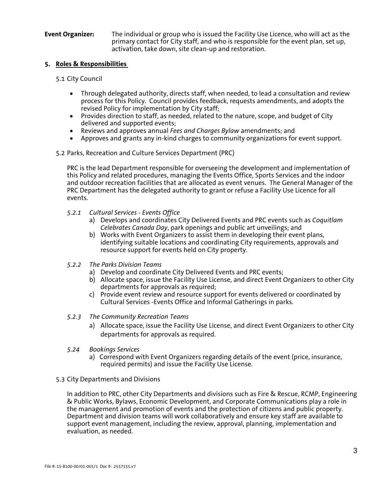## **Event Organizer:** The individual or group who is issued the Facility Use Licence, who will act as the primary contact for City staff, and who is responsible for the event plan, set up, activation, take down, site clean-up and restoration.

## **5. Roles & Responsibilities**

## 5.1 City Council

- Through delegated authority, directs staff, when needed, to lead a consultation and review process for this Policy. Council provides feedback, requests amendments, and adopts the revised Policy for implementation by City staff;
- Provides direction to staff, as needed, related to the nature, scope, and budget of City delivered and supported events;
- Reviews and approves annual *Fees and Charges Bylaw* amendments; and
- Approves and grants any in-kind charges to community organizations for event support.

## 5.2 Parks, Recreation and Culture Services Department (PRC)

PRC is the lead Department responsible for overseeing the development and implementation of this Policy and related procedures, managing the Events Office, Sports Services and the indoor and outdoor recreation facilities that are allocated as event venues. The General Manager of the PRC Department has the delegated authority to grant or refuse a Facility Use Licence for all events.

- *5.2.1 Cultural Services Events Office* 
	- a) Develops and coordinates City Delivered Events and PRC events such as *Coquitlam Celebrates Canada Day*, park openings and public art unveilings; and
	- b) Works with Event Organizers to assist them in developing their event plans, identifying suitable locations and coordinating City requirements, approvals and resource support for events held on City property.
- *5.2.2 The Parks Division Teams* 
	- a) Develop and coordinate City Delivered Events and PRC events;
	- b) Allocate space, issue the Facility Use License, and direct Event Organizers to other City departments for approvals as required;
	- c) Provide event review and resource support for events delivered or coordinated by Cultural Services -Events Office and Informal Gatherings in parks.
- *5.2.3 The Community Recreation Teams* 
	- a) Allocate space, issue the Facility Use License, and direct Event Organizers to other City departments for approvals as required.
- *5.24 Bookings Services* 
	- a)Correspond with Event Organizers regarding details of the event (price, insurance, required permits) and issue the Facility Use License.
- 5.3 City Departments and Divisions

In addition to PRC, other City Departments and divisions such as Fire & Rescue, RCMP, Engineering & Public Works, Bylaws, Economic Development, and Corporate Communications play a role in the management and promotion of events and the protection of citizens and public property. Department and division teams will work collaboratively and ensure key staff are available to support event management, including the review, approval, planning, implementation and evaluation, as needed.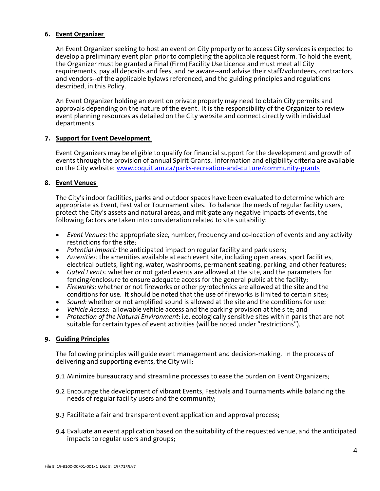## **6. Event Organizer**

An Event Organizer seeking to host an event on City property or to access City services is expected to develop a preliminary event plan prior to completing the applicable request form. To hold the event, the Organizer must be granted a Final (Firm) Facility Use Licence and must meet all City requirements, pay all deposits and fees, and be aware--and advise their staff/volunteers, contractors and vendors--of the applicable bylaws referenced, and the guiding principles and regulations described, in this Policy.

An Event Organizer holding an event on private property may need to obtain City permits and approvals depending on the nature of the event. It is the responsibility of the Organizer to review event planning resources as detailed on the City website and connect directly with individual departments.

## **7. Support for Event Development**

Event Organizers may be eligible to qualify for financial support for the development and growth of events through the provision of annual Spirit Grants. Information and eligibility criteria are available on the City website: www.coquitlam.ca/parks-recreation-and-culture/community-grants

## **8. Event Venues**

The City's indoor facilities, parks and outdoor spaces have been evaluated to determine which are appropriate as Event, Festival or Tournament sites. To balance the needs of regular facility users, protect the City's assets and natural areas, and mitigate any negative impacts of events, the following factors are taken into consideration related to site suitability:

- *Event Venues:* the appropriate size, number, frequency and co-location of events and any activity restrictions for the site;
- *Potential Impact:* the anticipated impact on regular facility and park users;
- *Amenities:* the amenities available at each event site, including open areas, sport facilities, electrical outlets, lighting, water, washrooms, permanent seating, parking, and other features;
- *Gated Events:* whether or not gated events are allowed at the site, and the parameters for fencing/enclosure to ensure adequate access for the general public at the facility;
- *Fireworks:* whether or not fireworks or other pyrotechnics are allowed at the site and the conditions for use. It should be noted that the use of fireworks is limited to certain sites;
- *Sound:* whether or not amplified sound is allowed at the site and the conditions for use;
- *Vehicle Access:* allowable vehicle access and the parking provision at the site; and
- *Protection of the Natural Environment*: i.e. ecologically sensitive sites within parks that are not suitable for certain types of event activities (will be noted under "restrictions").

## **9. Guiding Principles**

The following principles will guide event management and decision-making. In the process of delivering and supporting events, the City will:

- 9.1 Minimize bureaucracy and streamline processes to ease the burden on Event Organizers;
- 9.2 Encourage the development of vibrant Events, Festivals and Tournaments while balancing the needs of regular facility users and the community;
- 9.3 Facilitate a fair and transparent event application and approval process;
- 9.4 Evaluate an event application based on the suitability of the requested venue, and the anticipated impacts to regular users and groups;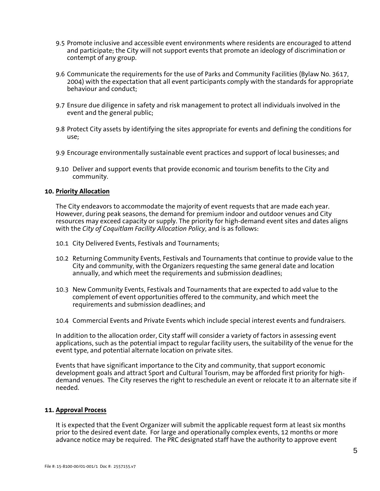- 9.5 Promote inclusive and accessible event environments where residents are encouraged to attend and participate; the City will not support events that promote an ideology of discrimination or contempt of any group.
- 9.6 Communicate the requirements for the use of Parks and Community Facilities (Bylaw No. 3617, 2004) with the expectation that all event participants comply with the standards for appropriate behaviour and conduct;
- 9.7 Ensure due diligence in safety and risk management to protect all individuals involved in the event and the general public;
- 9.8 Protect City assets by identifying the sites appropriate for events and defining the conditions for use;
- 9.9 Encourage environmentally sustainable event practices and support of local businesses; and
- 9.10 Deliver and support events that provide economic and tourism benefits to the City and community.

#### **10. Priority Allocation**

The City endeavors to accommodate the majority of event requests that are made each year. However, during peak seasons, the demand for premium indoor and outdoor venues and City resources may exceed capacity or supply. The priority for high-demand event sites and dates aligns with the *City of Coquitlam Facility Allocation Policy*, and is as follows:

- 10.1 City Delivered Events, Festivals and Tournaments;
- 10.2 Returning Community Events, Festivals and Tournaments that continue to provide value to the City and community, with the Organizers requesting the same general date and location annually, and which meet the requirements and submission deadlines;
- 10.3 New Community Events, Festivals and Tournaments that are expected to add value to the complement of event opportunities offered to the community, and which meet the requirements and submission deadlines; and
- 10.4 Commercial Events and Private Events which include special interest events and fundraisers.

In addition to the allocation order, City staff will consider a variety of factors in assessing event applications, such as the potential impact to regular facility users, the suitability of the venue for the event type, and potential alternate location on private sites.

Events that have significant importance to the City and community, that support economic development goals and attract Sport and Cultural Tourism, may be afforded first priority for highdemand venues. The City reserves the right to reschedule an event or relocate it to an alternate site if needed.

#### **11. Approval Process**

It is expected that the Event Organizer will submit the applicable request form at least six months prior to the desired event date. For large and operationally complex events, 12 months or more advance notice may be required. The PRC designated staff have the authority to approve event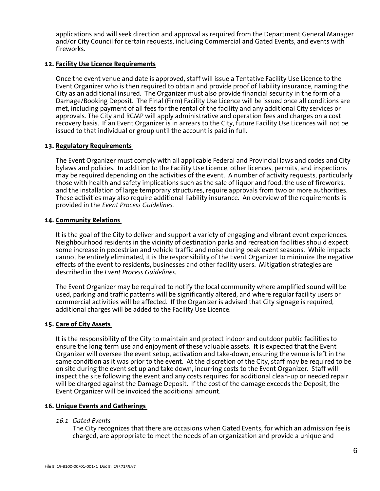applications and will seek direction and approval as required from the Department General Manager and/or City Council for certain requests, including Commercial and Gated Events, and events with fireworks.

## **12. Facility Use Licence Requirements**

Once the event venue and date is approved, staff will issue a Tentative Facility Use Licence to the Event Organizer who is then required to obtain and provide proof of liability insurance, naming the City as an additional insured. The Organizer must also provide financial security in the form of a Damage/Booking Deposit. The Final (Firm) Facility Use Licence will be issued once all conditions are met, including payment of all fees for the rental of the facility and any additional City services or approvals. The City and RCMP will apply administrative and operation fees and charges on a cost recovery basis.If an Event Organizer is in arrears to the City, future Facility Use Licences will not be issued to that individual or group until the account is paid in full.

## **13. Regulatory Requirements**

The Event Organizer must comply with all applicable Federal and Provincial laws and codes and City bylaws and policies. In addition to the Facility Use Licence, other licences, permits, and inspections may be required depending on the activities of the event. A number of activity requests, particularly those with health and safety implications such as the sale of liquor and food, the use of fireworks, and the installation of large temporary structures, require approvals from two or more authorities. These activities may also require additional liability insurance. An overview of the requirements is provided in the *Event Process Guidelines.* 

## **14. Community Relations**

It is the goal of the City to deliver and support a variety of engaging and vibrant event experiences. Neighbourhood residents in the vicinity of destination parks and recreation facilities should expect some increase in pedestrian and vehicle traffic and noise during peak event seasons. While impacts cannot be entirely eliminated, it is the responsibility of the Event Organizer to minimize the negative effects of the event to residents, businesses and other facility users. Mitigation strategies are described in the *Event Process Guidelines.* 

The Event Organizer may be required to notify the local community where amplified sound will be used, parking and traffic patterns will be significantly altered, and where regular facility users or commercial activities will be affected. If the Organizer is advised that City signage is required, additional charges will be added to the Facility Use Licence.

## **15. Care of City Assets**

It is the responsibility of the City to maintain and protect indoor and outdoor public facilities to ensure the long-term use and enjoyment of these valuable assets. It is expected that the Event Organizer will oversee the event setup, activation and take-down, ensuring the venue is left in the same condition as it was prior to the event. At the discretion of the City, staff may be required to be on site during the event set up and take down, incurring costs to the Event Organizer. Staff will inspect the site following the event and any costs required for additional clean-up or needed repair will be charged against the Damage Deposit. If the cost of the damage exceeds the Deposit, the Event Organizer will be invoiced the additional amount.

## **16. Unique Events and Gatherings**

## *16.1 Gated Events*

The City recognizes that there are occasions when Gated Events, for which an admission fee is charged, are appropriate to meet the needs of an organization and provide a unique and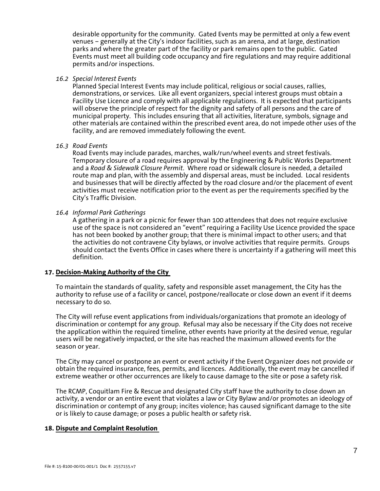desirable opportunity for the community. Gated Events may be permitted at only a few event venues – generally at the City's indoor facilities, such as an arena, and at large, destination parks and where the greater part of the facility or park remains open to the public. Gated Events must meet all building code occupancy and fire regulations and may require additional permits and/or inspections.

#### *16.2 Special Interest Events*

Planned Special Interest Events may include political, religious or social causes, rallies, demonstrations, or services. Like all event organizers, special interest groups must obtain a Facility Use Licence and comply with all applicable regulations. It is expected that participants will observe the principle of respect for the dignity and safety of all persons and the care of municipal property. This includes ensuring that all activities, literature, symbols, signage and other materials are contained within the prescribed event area, do not impede other uses of the facility, and are removed immediately following the event.

#### *16.3 Road Events*

Road Events may include parades, marches, walk/run/wheel events and street festivals. Temporary closure of a road requires approval by the Engineering & Public Works Department and a *Road & Sidewalk Closure Permit*. Where road or sidewalk closure is needed, a detailed route map and plan, with the assembly and dispersal areas, must be included. Local residents and businesses that will be directly affected by the road closure and/or the placement of event activities must receive notification prior to the event as per the requirements specified by the City's Traffic Division.

## *16.4 Informal Park Gatherings*

A gathering in a park or a picnic for fewer than 100 attendees that does not require exclusive use of the space is not considered an "event" requiring a Facility Use Licence provided the space has not been booked by another group; that there is minimal impact to other users; and that the activities do not contravene City bylaws, or involve activities that require permits. Groups should contact the Events Office in cases where there is uncertainty if a gathering will meet this definition.

## **17. Decision-Making Authority of the City**

To maintain the standards of quality, safety and responsible asset management, the City has the authority to refuse use of a facility or cancel, postpone/reallocate or close down an event if it deems necessary to do so.

The City will refuse event applications from individuals/organizations that promote an ideology of discrimination or contempt for any group. Refusal may also be necessary if the City does not receive the application within the required timeline, other events have priority at the desired venue, regular users will be negatively impacted, or the site has reached the maximum allowed events for the season or year.

The City may cancel or postpone an event or event activity if the Event Organizer does not provide or obtain the required insurance, fees, permits, and licences. Additionally, the event may be cancelled if extreme weather or other occurrences are likely to cause damage to the site or pose a safety risk.

The RCMP, Coquitlam Fire & Rescue and designated City staff have the authority to close down an activity, a vendor or an entire event that violates a law or City Bylaw and/or promotes an ideology of discrimination or contempt of any group; incites violence; has caused significant damage to the site or is likely to cause damage; or poses a public health or safety risk.

## **18. Dispute and Complaint Resolution**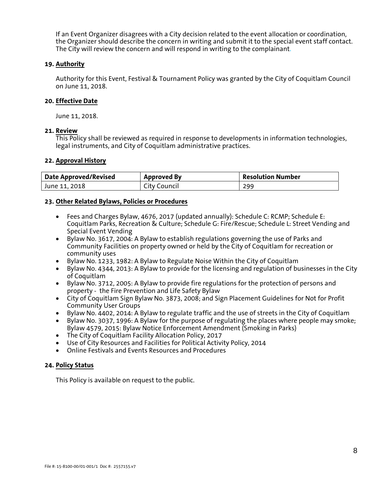If an Event Organizer disagrees with a City decision related to the event allocation or coordination, the Organizer should describe the concern in writing and submit it to the special event staff contact. The City will review the concern and will respond in writing to the complainant.

## **19. Authority**

Authority for this Event, Festival & Tournament Policy was granted by the City of Coquitlam Council on June 11, 2018.

## **20. Effective Date**

June 11, 2018.

## **21. Review**

This Policy shall be reviewed as required in response to developments in information technologies, legal instruments, and City of Coquitlam administrative practices.

## **22. Approval History**

| <b>Date Approved/Revised</b> | <b>Approved By</b> | <b>Resolution Number</b> |
|------------------------------|--------------------|--------------------------|
| June 11, 2018                | City Council       | 299                      |

## **23. Other Related Bylaws, Policies or Procedures**

- Fees and Charges Bylaw, 4676, 2017 (updated annually): Schedule C: RCMP; Schedule E: Coquitlam Parks, Recreation & Culture; Schedule G: Fire/Rescue; Schedule L: Street Vending and Special Event Vending
- Bylaw No. 3617, 2004: A Bylaw to establish regulations governing the use of Parks and Community Facilities on property owned or held by the City of Coquitlam for recreation or community uses
- Bylaw No. 1233, 1982: A Bylaw to Regulate Noise Within the City of Coquitlam
- Bylaw No. 4344, 2013: A Bylaw to provide for the licensing and regulation of businesses in the City of Coquitlam
- Bylaw No. 3712, 2005: A Bylaw to provide fire regulations for the protection of persons and property - the Fire Prevention and Life Safety Bylaw
- City of Coquitlam Sign Bylaw No. 3873, 2008; and Sign Placement Guidelines for Not for Profit Community User Groups
- Bylaw No. 4402, 2014: A Bylaw to regulate traffic and the use of streets in the City of Coquitlam
- Bylaw No. 3037, 1996: A Bylaw for the purpose of regulating the places where people may smoke; Bylaw 4579, 2015: Bylaw Notice Enforcement Amendment (Smoking in Parks)
- The City of Coquitlam Facility Allocation Policy, 2017
- Use of City Resources and Facilities for Political Activity Policy, 2014
- Online Festivals and Events Resources and Procedures

## **24. Policy Status**

This Policy is available on request to the public.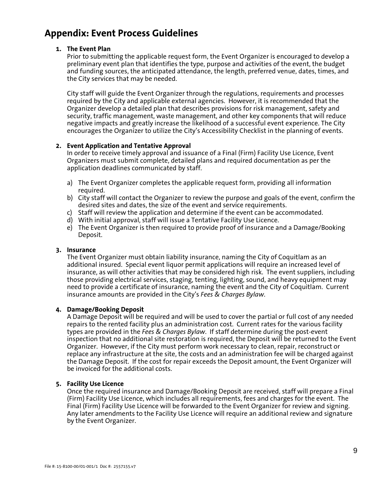## **Appendix: Event Process Guidelines**

## **1. The Event Plan**

Prior to submitting the applicable request form, the Event Organizer is encouraged to develop a preliminary event plan that identifies the type, purpose and activities of the event, the budget and funding sources, the anticipated attendance, the length, preferred venue, dates, times, and the City services that may be needed.

City staff will guide the Event Organizer through the regulations, requirements and processes required by the City and applicable external agencies. However, it is recommended that the Organizer develop a detailed plan that describes provisions for risk management, safety and security, traffic management, waste management, and other key components that will reduce negative impacts and greatly increase the likelihood of a successful event experience. The City encourages the Organizer to utilize the City's Accessibility Checklist in the planning of events.

## **2. Event Application and Tentative Approval**

In order to receive timely approval and issuance of a Final (Firm) Facility Use Licence, Event Organizers must submit complete, detailed plans and required documentation as per the application deadlines communicated by staff.

- a) The Event Organizer completes the applicable request form, providing all information required.
- b) City staff will contact the Organizer to review the purpose and goals of the event, confirm the desired sites and dates, the size of the event and service requirements.
- c) Staff will review the application and determine if the event can be accommodated.
- d) With initial approval, staff will issue a Tentative Facility Use Licence.
- e) The Event Organizer is then required to provide proof of insurance and a Damage/Booking Deposit.

## **3. Insurance**

The Event Organizer must obtain liability insurance, naming the City of Coquitlam as an additional insured. Special event liquor permit applications will require an increased level of insurance, as will other activities that may be considered high risk. The event suppliers, including those providing electrical services, staging, tenting, lighting, sound, and heavy equipment may need to provide a certificate of insurance, naming the event and the City of Coquitlam. Current insurance amounts are provided in the City's *Fees & Charges Bylaw*.

## **4. Damage/Booking Deposit**

A Damage Deposit will be required and will be used to cover the partial or full cost of any needed repairs to the rented facility plus an administration cost. Current rates for the various facility types are provided in the *Fees & Charges Bylaw*. If staff determine during the post-event inspection that no additional site restoration is required, the Deposit will be returned to the Event Organizer. However, if the City must perform work necessary to clean, repair, reconstruct or replace any infrastructure at the site, the costs and an administration fee will be charged against the Damage Deposit. If the cost for repair exceeds the Deposit amount, the Event Organizer will be invoiced for the additional costs.

## **5. Facility Use Licence**

Once the required insurance and Damage/Booking Deposit are received, staff will prepare a Final (Firm) Facility Use Licence, which includes all requirements, fees and charges for the event. The Final (Firm) Facility Use Licence will be forwarded to the Event Organizer for review and signing. Any later amendments to the Facility Use Licence will require an additional review and signature by the Event Organizer.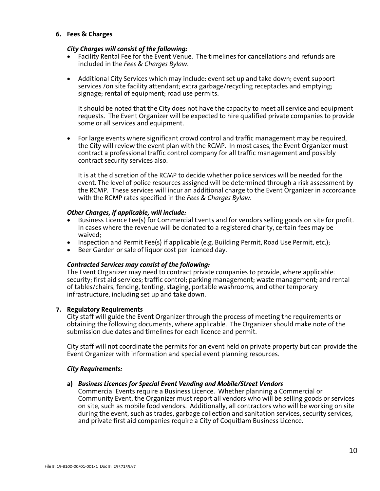## **6. Fees & Charges**

## *City Charges will consist of the following:*

- Facility Rental Fee for the Event Venue. The timelines for cancellations and refunds are included in the *Fees & Charges Bylaw*.
- Additional City Services which may include: event set up and take down; event support services /on site facility attendant; extra garbage/recycling receptacles and emptying; signage; rental of equipment; road use permits.

It should be noted that the City does not have the capacity to meet all service and equipment requests. The Event Organizer will be expected to hire qualified private companies to provide some or all services and equipment.

• For large events where significant crowd control and traffic management may be required, the City will review the event plan with the RCMP. In most cases, the Event Organizer must contract a professional traffic control company for all traffic management and possibly contract security services also.

It is at the discretion of the RCMP to decide whether police services will be needed for the event. The level of police resources assigned will be determined through a risk assessment by the RCMP. These services will incur an additional charge to the Event Organizer in accordance with the RCMP rates specified in the *Fees & Charges Bylaw*.

## *Other Charges, if applicable, will include:*

- Business Licence Fee(s) for Commercial Events and for vendors selling goods on site for profit. In cases where the revenue will be donated to a registered charity, certain fees may be waived;
- Inspection and Permit Fee(s) if applicable (e.g. Building Permit, Road Use Permit, etc.);
- Beer Garden or sale of liquor cost per licenced day.

## *Contracted Services may consist of the following:*

The Event Organizer may need to contract private companies to provide, where applicable: security; first aid services; traffic control; parking management; waste management; and rental of tables/chairs, fencing, tenting, staging, portable washrooms, and other temporary infrastructure, including set up and take down.

## **7. Regulatory Requirements**

City staff will guide the Event Organizer through the process of meeting the requirements or obtaining the following documents, where applicable. The Organizer should make note of the submission due dates and timelines for each licence and permit.

City staff will not coordinate the permits for an event held on private property but can provide the Event Organizer with information and special event planning resources.

## *City Requirements:*

## **a)** *Business Licences for Special Event Vending and Mobile/Street Vendors*

Commercial Events require a Business Licence. Whether planning a Commercial or Community Event, the Organizer must report all vendors who will be selling goods or services on site, such as mobile food vendors. Additionally, all contractors who will be working on site during the event, such as trades, garbage collection and sanitation services, security services, and private first aid companies require a City of Coquitlam Business Licence.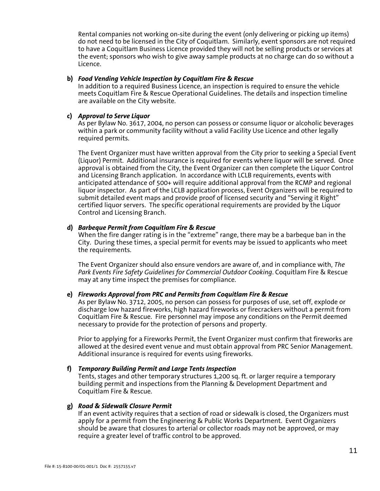Rental companies not working on-site during the event (only delivering or picking up items) do not need to be licensed in the City of Coquitlam. Similarly, event sponsors are not required to have a Coquitlam Business Licence provided they will not be selling products or services at the event; sponsors who wish to give away sample products at no charge can do so without a Licence.

#### **b)** *Food Vending Vehicle Inspection by Coquitlam Fire & Rescue*

In addition to a required Business Licence, an inspection is required to ensure the vehicle meets Coquitlam Fire & Rescue Operational Guidelines. The details and inspection timeline are available on the City website.

## **c)** *Approval to Serve Liquor*

As per Bylaw No. 3617, 2004, no person can possess or consume liquor or alcoholic beverages within a park or community facility without a valid Facility Use Licence and other legally required permits.

The Event Organizer must have written approval from the City prior to seeking a Special Event (Liquor) Permit. Additional insurance is required for events where liquor will be served. Once approval is obtained from the City, the Event Organizer can then complete the Liquor Control and Licensing Branch application. In accordance with LCLB requirements, events with anticipated attendance of 500+ will require additional approval from the RCMP and regional liquor inspector. As part of the LCLB application process, Event Organizers will be required to submit detailed event maps and provide proof of licensed security and "Serving it Right" certified liquor servers. The specific operational requirements are provided by the Liquor Control and Licensing Branch.

## **d)** *Barbeque Permit from Coquitlam Fire & Rescue*

When the fire danger rating is in the "extreme" range, there may be a barbeque ban in the City. During these times, a special permit for events may be issued to applicants who meet the requirements.

The Event Organizer should also ensure vendors are aware of, and in compliance with, *The Park Events Fire Safety Guidelines for Commercial Outdoor Cooking*. Coquitlam Fire & Rescue may at any time inspect the premises for compliance.

## **e)** *Fireworks Approval from PRC and Permits from Coquitlam Fire & Rescue*

As per Bylaw No. 3712, 2005, no person can possess for purposes of use, set off, explode or discharge low hazard fireworks, high hazard fireworks or firecrackers without a permit from Coquitlam Fire & Rescue. Fire personnel may impose any conditions on the Permit deemed necessary to provide for the protection of persons and property.

Prior to applying for a Fireworks Permit, the Event Organizer must confirm that fireworks are allowed at the desired event venue and must obtain approval from PRC Senior Management. Additional insurance is required for events using fireworks.

## **f)** *Temporary Building Permit and Large Tents Inspection*

Tents, stages and other temporary structures 1,200 sq. ft. or larger require a temporary building permit and inspections from the Planning & Development Department and Coquitlam Fire & Rescue.

## **g)** *Road & Sidewalk Closure Permit*

If an event activity requires that a section of road or sidewalk is closed, the Organizers must apply for a permit from the Engineering & Public Works Department. Event Organizers should be aware that closures to arterial or collector roads may not be approved, or may require a greater level of traffic control to be approved.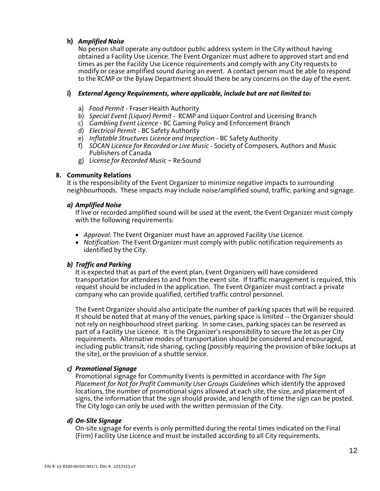## **h)** *Amplified Noise*

No person shall operate any outdoor public address system in the City without having obtained a Facility Use Licence. The Event Organizer must adhere to approved start and end times as per the Facility Use Licence requirements and comply with any City requests to modify or cease amplified sound during an event. A contact person must be able to respond to the RCMP or the Bylaw Department should there be any concerns on the day of the event.

## **i)** *External Agency Requirements, where applicable, include but are not limited to:*

- a) *Food Permit* Fraser Health Authority
- b) *Special Event (Liquor) Permit*  RCMP and Liquor Control and Licensing Branch
- c) *Gambling Event Licence* BC Gaming Policy and Enforcement Branch
- d) *Electrical Permit* BC Safety Authority
- e) *Inflatable Structures Licence and Inspection* BC Safety Authority
- f) *SOCAN Licence for Recorded or Live Music* Society of Composers, Authors and Music Publishers of Canada
- g) *License for Recorded Music* Re:Sound

## **8. Community Relations**

It is the responsibility of the Event Organizer to minimize negative impacts to surrounding neighbourhoods. These impacts may include noise/amplified sound, traffic, parking and signage.

## *a) Amplified Noise*

If live or recorded amplified sound will be used at the event, the Event Organizer must comply with the following requirements:

- *Approval:* The Event Organizer must have an approved Facility Use Licence.
- *Notification:* The Event Organizer must comply with public notification requirements as identified by the City.

## *b) Traffic and Parking*

It is expected that as part of the event plan, Event Organizers will have considered transportation for attendees to and from the event site. If traffic management is required, this request should be included in the application. The Event Organizer must contract a private company who can provide qualified, certified traffic control personnel.

The Event Organizer should also anticipate the number of parking spaces that will be required. It should be noted that at many of the venues, parking space is limited -- the Organizer should not rely on neighbourhood street parking. In some cases, parking spaces can be reserved as part of a Facility Use Licence. It is the Organizer's responsibility to secure the lot as per City requirements. Alternative modes of transportation should be considered and encouraged, including public transit, ride sharing, cycling (possibly requiring the provision of bike lockups at the site), or the provision of a shuttle service.

## *c) Promotional Signage*

Promotional signage for Community Events is permitted in accordance with *The Sign Placement for Not for Profit Community User Groups Guidelines* which identify the approved locations, the number of promotional signs allowed at each site, the size, and placement of signs, the information that the sign should provide, and length of time the sign can be posted. The City logo can only be used with the written permission of the City.

## *d) On-Site Signage*

On-site signage for events is only permitted during the rental times indicated on the Final (Firm) Facility Use Licence and must be installed according to all City requirements.